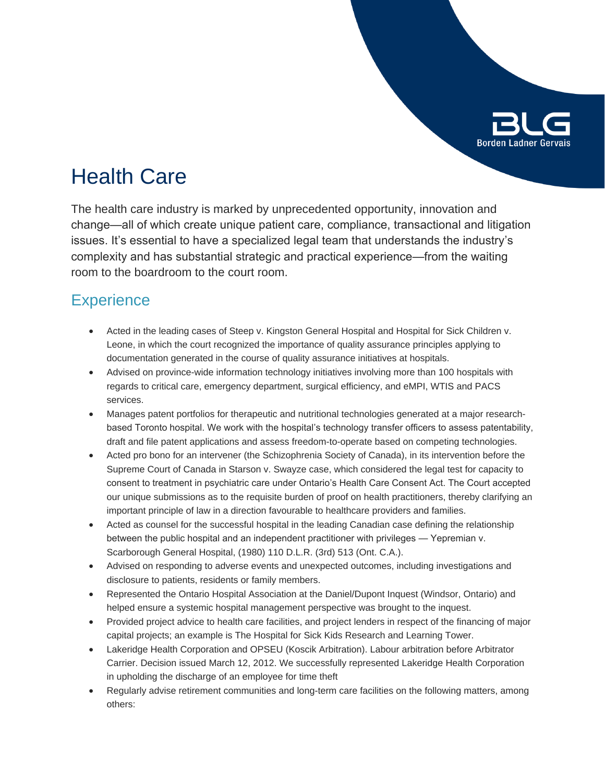

# Health Care

The health care industry is marked by unprecedented opportunity, innovation and change—all of which create unique patient care, compliance, transactional and litigation issues. It's essential to have a specialized legal team that understands the industry's complexity and has substantial strategic and practical experience—from the waiting room to the boardroom to the court room.

## **Experience**

- Acted in the leading cases of Steep v. Kingston General Hospital and Hospital for Sick Children v. Leone, in which the court recognized the importance of quality assurance principles applying to documentation generated in the course of quality assurance initiatives at hospitals.
- Advised on province-wide information technology initiatives involving more than 100 hospitals with regards to critical care, emergency department, surgical efficiency, and eMPI, WTIS and PACS services.
- Manages patent portfolios for therapeutic and nutritional technologies generated at a major researchbased Toronto hospital. We work with the hospital's technology transfer officers to assess patentability, draft and file patent applications and assess freedom-to-operate based on competing technologies.
- Acted pro bono for an intervener (the Schizophrenia Society of Canada), in its intervention before the Supreme Court of Canada in Starson v. Swayze case, which considered the legal test for capacity to consent to treatment in psychiatric care under Ontario's Health Care Consent Act. The Court accepted our unique submissions as to the requisite burden of proof on health practitioners, thereby clarifying an important principle of law in a direction favourable to healthcare providers and families.
- Acted as counsel for the successful hospital in the leading Canadian case defining the relationship between the public hospital and an independent practitioner with privileges — Yepremian v. Scarborough General Hospital, (1980) 110 D.L.R. (3rd) 513 (Ont. C.A.).
- Advised on responding to adverse events and unexpected outcomes, including investigations and disclosure to patients, residents or family members.
- Represented the Ontario Hospital Association at the Daniel/Dupont Inquest (Windsor, Ontario) and helped ensure a systemic hospital management perspective was brought to the inquest.
- Provided project advice to health care facilities, and project lenders in respect of the financing of major capital projects; an example is The Hospital for Sick Kids Research and Learning Tower.
- Lakeridge Health Corporation and OPSEU (Koscik Arbitration). Labour arbitration before Arbitrator Carrier. Decision issued March 12, 2012. We successfully represented Lakeridge Health Corporation in upholding the discharge of an employee for time theft
- Regularly advise retirement communities and long-term care facilities on the following matters, among others: